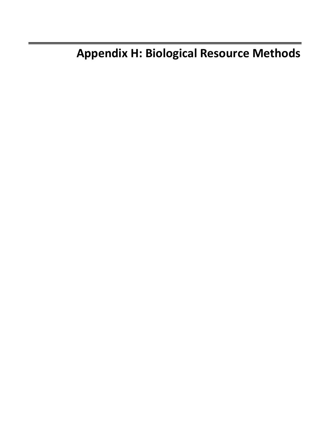**Appendix H: Biological Resource Methods**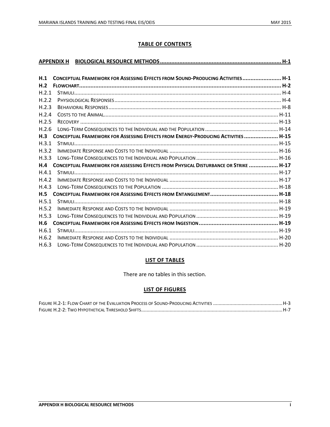### **TABLE OF CONTENTS**

| H.1   | CONCEPTUAL FRAMEWORK FOR ASSESSING EFFECTS FROM SOUND-PRODUCING ACTIVITIES H-1       |  |
|-------|--------------------------------------------------------------------------------------|--|
| H.2   |                                                                                      |  |
| H.2.1 |                                                                                      |  |
| H.2.2 |                                                                                      |  |
| H.2.3 |                                                                                      |  |
| H.2.4 |                                                                                      |  |
| H.2.5 |                                                                                      |  |
| H.2.6 |                                                                                      |  |
| H.3   | CONCEPTUAL FRAMEWORK FOR ASSESSING EFFECTS FROM ENERGY-PRODUCING ACTIVITIES  H-15    |  |
| H.3.1 |                                                                                      |  |
| H.3.2 |                                                                                      |  |
| H.3.3 |                                                                                      |  |
| H.4   | CONCEPTUAL FRAMEWORK FOR ASSESSING EFFECTS FROM PHYSICAL DISTURBANCE OR STRIKE  H-17 |  |
| H.4.1 |                                                                                      |  |
| H.4.2 |                                                                                      |  |
| H.4.3 |                                                                                      |  |
| H.5   |                                                                                      |  |
| H.5.1 |                                                                                      |  |
| H.5.2 |                                                                                      |  |
| H.5.3 |                                                                                      |  |
| H.6   |                                                                                      |  |
| H.6.1 |                                                                                      |  |
| H.6.2 |                                                                                      |  |
| H.6.3 |                                                                                      |  |
|       |                                                                                      |  |

# **LIST OF TABLES**

There are no tables in this section.

### **LIST OF FIGURES**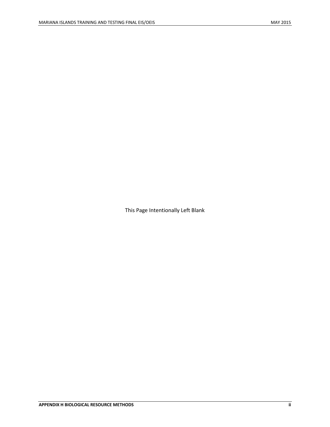This Page Intentionally Left Blank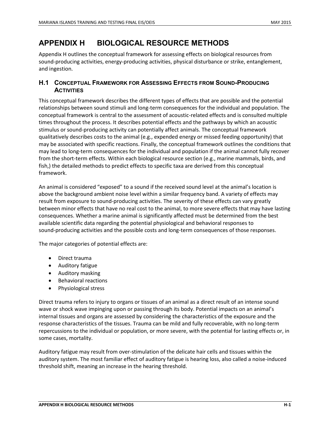# <span id="page-4-0"></span>**APPENDIX H BIOLOGICAL RESOURCE METHODS**

Appendix H outlines the conceptual framework for assessing effects on biological resources from sound-producing activities, energy-producing activities, physical disturbance or strike, entanglement, and ingestion.

# <span id="page-4-1"></span>**H.1 CONCEPTUAL FRAMEWORK FOR ASSESSING EFFECTS FROM SOUND-PRODUCING ACTIVITIES**

This conceptual framework describes the different types of effects that are possible and the potential relationships between sound stimuli and long-term consequences for the individual and population. The conceptual framework is central to the assessment of acoustic-related effects and is consulted multiple times throughout the process. It describes potential effects and the pathways by which an acoustic stimulus or sound-producing activity can potentially affect animals. The conceptual framework qualitatively describes costs to the animal (e.g., expended energy or missed feeding opportunity) that may be associated with specific reactions. Finally, the conceptual framework outlines the conditions that may lead to long-term consequences for the individual and population if the animal cannot fully recover from the short-term effects. Within each biological resource section (e.g., marine mammals, birds, and fish,) the detailed methods to predict effects to specific taxa are derived from this conceptual framework.

An animal is considered "exposed" to a sound if the received sound level at the animal's location is above the background ambient noise level within a similar frequency band. A variety of effects may result from exposure to sound-producing activities. The severity of these effects can vary greatly between minor effects that have no real cost to the animal, to more severe effects that may have lasting consequences. Whether a marine animal is significantly affected must be determined from the best available scientific data regarding the potential physiological and behavioral responses to sound-producing activities and the possible costs and long-term consequences of those responses.

The major categories of potential effects are:

- Direct trauma
- Auditory fatigue
- Auditory masking
- Behavioral reactions
- Physiological stress

Direct trauma refers to injury to organs or tissues of an animal as a direct result of an intense sound wave or shock wave impinging upon or passing through its body. Potential impacts on an animal's internal tissues and organs are assessed by considering the characteristics of the exposure and the response characteristics of the tissues. Trauma can be mild and fully recoverable, with no long-term repercussions to the individual or population, or more severe, with the potential for lasting effects or, in some cases, mortality.

Auditory fatigue may result from over-stimulation of the delicate hair cells and tissues within the auditory system. The most familiar effect of auditory fatigue is hearing loss, also called a noise-induced threshold shift, meaning an increase in the hearing threshold.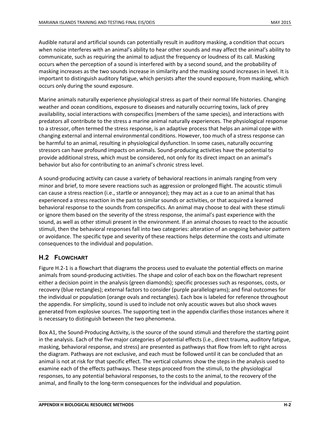Audible natural and artificial sounds can potentially result in auditory masking, a condition that occurs when noise interferes with an animal's ability to hear other sounds and may affect the animal's ability to communicate, such as requiring the animal to adjust the frequency or loudness of its call. Masking occurs when the perception of a sound is interfered with by a second sound, and the probability of masking increases as the two sounds increase in similarity and the masking sound increases in level. It is important to distinguish auditory fatigue, which persists after the sound exposure, from masking, which occurs only during the sound exposure.

Marine animals naturally experience physiological stress as part of their normal life histories. Changing weather and ocean conditions, exposure to diseases and naturally occurring toxins, lack of prey availability, social interactions with conspecifics (members of the same species), and interactions with predators all contribute to the stress a marine animal naturally experiences. The physiological response to a stressor, often termed the stress response, is an adaptive process that helps an animal cope with changing external and internal environmental conditions. However, too much of a stress response can be harmful to an animal, resulting in physiological dysfunction. In some cases, naturally occurring stressors can have profound impacts on animals. Sound-producing activities have the potential to provide additional stress, which must be considered, not only for its direct impact on an animal's behavior but also for contributing to an animal's chronic stress level.

A sound-producing activity can cause a variety of behavioral reactions in animals ranging from very minor and brief, to more severe reactions such as aggression or prolonged flight. The acoustic stimuli can cause a stress reaction (i.e., startle or annoyance); they may act as a cue to an animal that has experienced a stress reaction in the past to similar sounds or activities, or that acquired a learned behavioral response to the sounds from conspecifics. An animal may choose to deal with these stimuli or ignore them based on the severity of the stress response, the animal's past experience with the sound, as well as other stimuli present in the environment. If an animal chooses to react to the acoustic stimuli, then the behavioral responses fall into two categories: alteration of an ongoing behavior pattern or avoidance. The specific type and severity of these reactions helps determine the costs and ultimate consequences to the individual and population.

# <span id="page-5-0"></span>**H.2 FLOWCHART**

[Figure H.2-1](#page-6-0) is a flowchart that diagrams the process used to evaluate the potential effects on marine animals from sound-producing activities. The shape and color of each box on the flowchart represent either a decision point in the analysis (green diamonds); specific processes such as responses, costs, or recovery (blue rectangles); external factors to consider (purple parallelograms); and final outcomes for the individual or population (orange ovals and rectangles). Each box is labeled for reference throughout the appendix. For simplicity, sound is used to include not only acoustic waves but also shock waves generated from explosive sources. The supporting text in the appendix clarifies those instances where it is necessary to distinguish between the two phenomena.

Box A1, the Sound-Producing Activity, is the source of the sound stimuli and therefore the starting point in the analysis. Each of the five major categories of potential effects (i.e., direct trauma, auditory fatigue, masking, behavioral response, and stress) are presented as pathways that flow from left to right across the diagram. Pathways are not exclusive, and each must be followed until it can be concluded that an animal is not at risk for that specific effect. The vertical columns show the steps in the analysis used to examine each of the effects pathways. These steps proceed from the stimuli, to the physiological responses, to any potential behavioral responses, to the costs to the animal, to the recovery of the animal, and finally to the long-term consequences for the individual and population.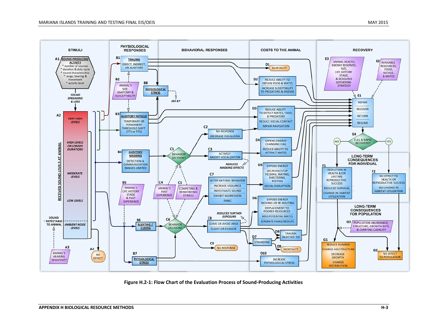

<span id="page-6-0"></span>**Figure H.2-1: Flow Chart of the Evaluation Process of Sound-Producing Activities**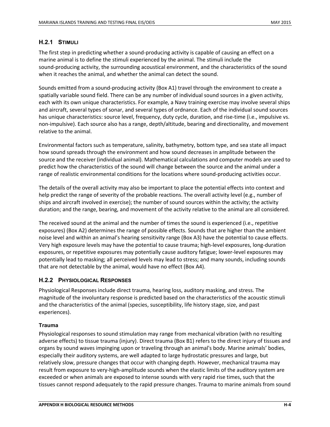### <span id="page-7-0"></span>**H.2.1 STIMULI**

The first step in predicting whether a sound-producing activity is capable of causing an effect on a marine animal is to define the stimuli experienced by the animal. The stimuli include the sound-producing activity, the surrounding acoustical environment, and the characteristics of the sound when it reaches the animal, and whether the animal can detect the sound.

Sounds emitted from a sound-producing activity (Box A1) travel through the environment to create a spatially variable sound field. There can be any number of individual sound sources in a given activity, each with its own unique characteristics. For example, a Navy training exercise may involve several ships and aircraft, several types of sonar, and several types of ordnance. Each of the individual sound sources has unique characteristics: source level, frequency, duty cycle, duration, and rise-time (i.e., impulsive vs. non-impulsive). Each source also has a range, depth/altitude, bearing and directionality, and movement relative to the animal.

Environmental factors such as temperature, salinity, bathymetry, bottom type, and sea state all impact how sound spreads through the environment and how sound decreases in amplitude between the source and the receiver (individual animal). Mathematical calculations and computer models are used to predict how the characteristics of the sound will change between the source and the animal under a range of realistic environmental conditions for the locations where sound-producing activities occur.

The details of the overall activity may also be important to place the potential effects into context and help predict the range of severity of the probable reactions. The overall activity level (e.g., number of ships and aircraft involved in exercise); the number of sound sources within the activity; the activity duration; and the range, bearing, and movement of the activity relative to the animal are all considered.

The received sound at the animal and the number of times the sound is experienced (i.e., repetitive exposures) (Box A2) determines the range of possible effects. Sounds that are higher than the ambient noise level and within an animal's hearing sensitivity range (Box A3) have the potential to cause effects. Very high exposure levels may have the potential to cause trauma; high-level exposures, long-duration exposures, or repetitive exposures may potentially cause auditory fatigue; lower-level exposures may potentially lead to masking; all perceived levels may lead to stress; and many sounds, including sounds that are not detectable by the animal, would have no effect (Box A4).

# <span id="page-7-1"></span>**H.2.2 PHYSIOLOGICAL RESPONSES**

Physiological Responses include direct trauma, hearing loss, auditory masking, and stress. The magnitude of the involuntary response is predicted based on the characteristics of the acoustic stimuli and the characteristics of the animal (species, susceptibility, life history stage, size, and past experiences).

### **Trauma**

Physiological responses to sound stimulation may range from mechanical vibration (with no resulting adverse effects) to tissue trauma (injury). Direct trauma (Box B1) refers to the direct injury of tissues and organs by sound waves impinging upon or traveling through an animal's body. Marine animals' bodies, especially their auditory systems, are well adapted to large hydrostatic pressures and large, but relatively slow, pressure changes that occur with changing depth. However, mechanical trauma may result from exposure to very-high-amplitude sounds when the elastic limits of the auditory system are exceeded or when animals are exposed to intense sounds with very rapid rise times, such that the tissues cannot respond adequately to the rapid pressure changes. Trauma to marine animals from sound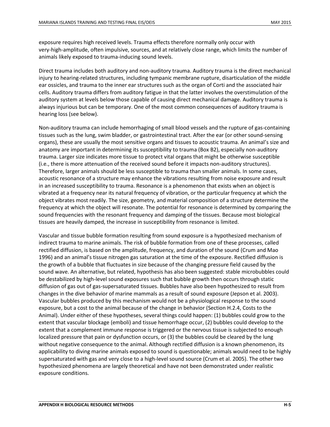exposure requires high received levels. Trauma effects therefore normally only occur with very-high-amplitude, often impulsive, sources, and at relatively close range, which limits the number of animals likely exposed to trauma-inducing sound levels.

Direct trauma includes both auditory and non-auditory trauma. Auditory trauma is the direct mechanical injury to hearing-related structures, including tympanic membrane rupture, disarticulation of the middle ear ossicles, and trauma to the inner ear structures such as the organ of Corti and the associated hair cells. Auditory trauma differs from auditory fatigue in that the latter involves the overstimulation of the auditory system at levels below those capable of causing direct mechanical damage. Auditory trauma is always injurious but can be temporary. One of the most common consequences of auditory trauma is hearing loss (see below).

Non-auditory trauma can include hemorrhaging of small blood vessels and the rupture of gas-containing tissues such as the lung, swim bladder, or gastrointestinal tract. After the ear (or other sound-sensing organs), these are usually the most sensitive organs and tissues to acoustic trauma. An animal's size and anatomy are important in determining its susceptibility to trauma (Box B2), especially non-auditory trauma. Larger size indicates more tissue to protect vital organs that might be otherwise susceptible (i.e., there is more attenuation of the received sound before it impacts non-auditory structures). Therefore, larger animals should be less susceptible to trauma than smaller animals. In some cases, acoustic resonance of a structure may enhance the vibrations resulting from noise exposure and result in an increased susceptibility to trauma. Resonance is a phenomenon that exists when an object is vibrated at a frequency near its natural frequency of vibration, or the particular frequency at which the object vibrates most readily. The size, geometry, and material composition of a structure determine the frequency at which the object will resonate. The potential for resonance is determined by comparing the sound frequencies with the resonant frequency and damping of the tissues. Because most biological tissues are heavily damped, the increase in susceptibility from resonance is limited.

Vascular and tissue bubble formation resulting from sound exposure is a hypothesized mechanism of indirect trauma to marine animals. The risk of bubble formation from one of these processes, called rectified diffusion, is based on the amplitude, frequency, and duration of the sound (Crum and Mao 1996) and an animal's tissue nitrogen gas saturation at the time of the exposure. Rectified diffusion is the growth of a bubble that fluctuates in size because of the changing pressure field caused by the sound wave. An alternative, but related, hypothesis has also been suggested: stable microbubbles could be destabilized by high-level sound exposures such that bubble growth then occurs through static diffusion of gas out of gas-supersaturated tissues. Bubbles have also been hypothesized to result from changes in the dive behavior of marine mammals as a result of sound exposure (Jepson et al. 2003). Vascular bubbles produced by this mechanism would not be a physiological response to the sound exposure, but a cost to the animal because of the change in behavior (Sectio[n H.2.4,](#page-14-0) Costs to the Animal). Under either of these hypotheses, several things could happen: (1) bubbles could grow to the extent that vascular blockage (emboli) and tissue hemorrhage occur, (2) bubbles could develop to the extent that a complement immune response is triggered or the nervous tissue is subjected to enough localized pressure that pain or dysfunction occurs, or (3) the bubbles could be cleared by the lung without negative consequence to the animal. Although rectified diffusion is a known phenomenon, its applicability to diving marine animals exposed to sound is questionable; animals would need to be highly supersaturated with gas and very close to a high-level sound source (Crum et al. 2005). The other two hypothesized phenomena are largely theoretical and have not been demonstrated under realistic exposure conditions.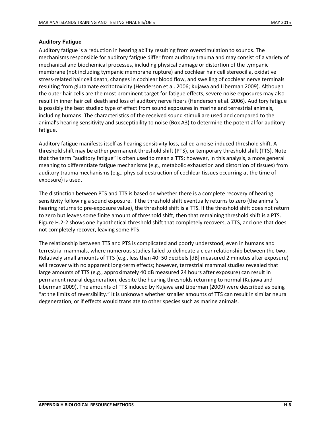### **Auditory Fatigue**

Auditory fatigue is a reduction in hearing ability resulting from overstimulation to sounds. The mechanisms responsible for auditory fatigue differ from auditory trauma and may consist of a variety of mechanical and biochemical processes, including physical damage or distortion of the tympanic membrane (not including tympanic membrane rupture) and cochlear hair cell stereocilia, oxidative stress-related hair cell death, changes in cochlear blood flow, and swelling of cochlear nerve terminals resulting from glutamate excitotoxicity (Henderson et al. 2006; Kujawa and Liberman 2009). Although the outer hair cells are the most prominent target for fatigue effects, severe noise exposures may also result in inner hair cell death and loss of auditory nerve fibers (Henderson et al. 2006). Auditory fatigue is possibly the best studied type of effect from sound exposures in marine and terrestrial animals, including humans. The characteristics of the received sound stimuli are used and compared to the animal's hearing sensitivity and susceptibility to noise (Box A3) to determine the potential for auditory fatigue.

Auditory fatigue manifests itself as hearing sensitivity loss, called a noise-induced threshold shift. A threshold shift may be either permanent threshold shift (PTS), or temporary threshold shift (TTS). Note that the term "auditory fatigue" is often used to mean a TTS; however, in this analysis, a more general meaning to differentiate fatigue mechanisms (e.g., metabolic exhaustion and distortion of tissues) from auditory trauma mechanisms (e.g., physical destruction of cochlear tissues occurring at the time of exposure) is used.

The distinction between PTS and TTS is based on whether there is a complete recovery of hearing sensitivity following a sound exposure. If the threshold shift eventually returns to zero (the animal's hearing returns to pre-exposure value), the threshold shift is a TTS. If the threshold shift does not return to zero but leaves some finite amount of threshold shift, then that remaining threshold shift is a PTS. [Figure H.2-2](#page-10-0) shows one hypothetical threshold shift that completely recovers, a TTS, and one that does not completely recover, leaving some PTS.

The relationship between TTS and PTS is complicated and poorly understood, even in humans and terrestrial mammals, where numerous studies failed to delineate a clear relationship between the two. Relatively small amounts of TTS (e.g., less than 40–50 decibels [dB] measured 2 minutes after exposure) will recover with no apparent long-term effects; however, terrestrial mammal studies revealed that large amounts of TTS (e.g., approximately 40 dB measured 24 hours after exposure) can result in permanent neural degeneration, despite the hearing thresholds returning to normal (Kujawa and Liberman 2009). The amounts of TTS induced by Kujawa and Liberman (2009) were described as being "at the limits of reversibility." It is unknown whether smaller amounts of TTS can result in similar neural degeneration, or if effects would translate to other species such as marine animals.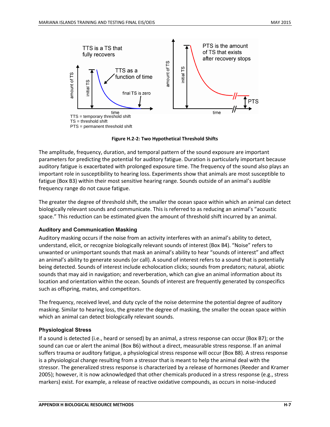

**Figure H.2-2: Two Hypothetical Threshold Shifts**

<span id="page-10-0"></span>The amplitude, frequency, duration, and temporal pattern of the sound exposure are important parameters for predicting the potential for auditory fatigue. Duration is particularly important because auditory fatigue is exacerbated with prolonged exposure time. The frequency of the sound also plays an important role in susceptibility to hearing loss. Experiments show that animals are most susceptible to fatigue (Box B3) within their most sensitive hearing range. Sounds outside of an animal's audible frequency range do not cause fatigue.

The greater the degree of threshold shift, the smaller the ocean space within which an animal can detect biologically relevant sounds and communicate. This is referred to as reducing an animal's "acoustic space." This reduction can be estimated given the amount of threshold shift incurred by an animal.

### **Auditory and Communication Masking**

Auditory masking occurs if the noise from an activity interferes with an animal's ability to detect, understand, elicit, or recognize biologically relevant sounds of interest (Box B4). "Noise" refers to unwanted or unimportant sounds that mask an animal's ability to hear "sounds of interest" and affect an animal's ability to generate sounds (or call). A sound of interest refers to a sound that is potentially being detected. Sounds of interest include echolocation clicks; sounds from predators; natural, abiotic sounds that may aid in navigation; and reverberation, which can give an animal information about its location and orientation within the ocean. Sounds of interest are frequently generated by conspecifics such as offspring, mates, and competitors.

The frequency, received level, and duty cycle of the noise determine the potential degree of auditory masking. Similar to hearing loss, the greater the degree of masking, the smaller the ocean space within which an animal can detect biologically relevant sounds.

### **Physiological Stress**

If a sound is detected (i.e., heard or sensed) by an animal, a stress response can occur (Box B7); or the sound can cue or alert the animal (Box B6) without a direct, measurable stress response. If an animal suffers trauma or auditory fatigue, a physiological stress response will occur (Box B8). A stress response is a physiological change resulting from a stressor that is meant to help the animal deal with the stressor. The generalized stress response is characterized by a release of hormones (Reeder and Kramer 2005); however, it is now acknowledged that other chemicals produced in a stress response (e.g., stress markers) exist. For example, a release of reactive oxidative compounds, as occurs in noise-induced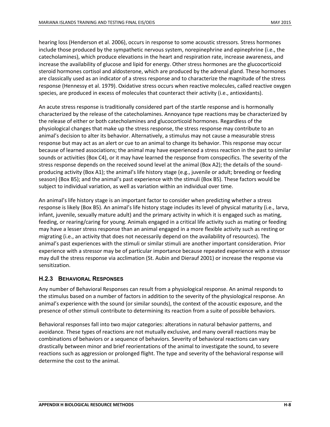hearing loss (Henderson et al. 2006), occurs in response to some acoustic stressors. Stress hormones include those produced by the sympathetic nervous system, norepinephrine and epinephrine (i.e., the catecholamines), which produce elevations in the heart and respiration rate, increase awareness, and increase the availability of glucose and lipid for energy. Other stress hormones are the glucocorticoid steroid hormones cortisol and aldosterone, which are produced by the adrenal gland. These hormones are classically used as an indicator of a stress response and to characterize the magnitude of the stress response (Hennessy et al. 1979). Oxidative stress occurs when reactive molecules, called reactive oxygen species, are produced in excess of molecules that counteract their activity (i.e., antioxidants).

An acute stress response is traditionally considered part of the startle response and is hormonally characterized by the release of the catecholamines. Annoyance type reactions may be characterized by the release of either or both catecholamines and glucocorticoid hormones. Regardless of the physiological changes that make up the stress response, the stress response may contribute to an animal's decision to alter its behavior. Alternatively, a stimulus may not cause a measurable stress response but may act as an alert or cue to an animal to change its behavior. This response may occur because of learned associations; the animal may have experienced a stress reaction in the past to similar sounds or activities (Box C4), or it may have learned the response from conspecifics. The severity of the stress response depends on the received sound level at the animal (Box A2); the details of the soundproducing activity (Box A1); the animal's life history stage (e.g., juvenile or adult; breeding or feeding season) (Box B5); and the animal's past experience with the stimuli (Box B5). These factors would be subject to individual variation, as well as variation within an individual over time.

An animal's life history stage is an important factor to consider when predicting whether a stress response is likely (Box B5). An animal's life history stage includes its level of physical maturity (i.e., larva, infant, juvenile, sexually mature adult) and the primary activity in which it is engaged such as mating, feeding, or rearing/caring for young. Animals engaged in a critical life activity such as mating or feeding may have a lesser stress response than an animal engaged in a more flexible activity such as resting or migrating (i.e., an activity that does not necessarily depend on the availability of resources). The animal's past experiences with the stimuli or similar stimuli are another important consideration. Prior experience with a stressor may be of particular importance because repeated experience with a stressor may dull the stress response via acclimation (St. Aubin and Dierauf 2001) or increase the response via sensitization.

# <span id="page-11-0"></span>**H.2.3 BEHAVIORAL RESPONSES**

Any number of Behavioral Responses can result from a physiological response. An animal responds to the stimulus based on a number of factors in addition to the severity of the physiological response. An animal's experience with the sound (or similar sounds), the context of the acoustic exposure, and the presence of other stimuli contribute to determining its reaction from a suite of possible behaviors.

Behavioral responses fall into two major categories: alterations in natural behavior patterns, and avoidance. These types of reactions are not mutually exclusive, and many overall reactions may be combinations of behaviors or a sequence of behaviors. Severity of behavioral reactions can vary drastically between minor and brief reorientations of the animal to investigate the sound, to severe reactions such as aggression or prolonged flight. The type and severity of the behavioral response will determine the cost to the animal.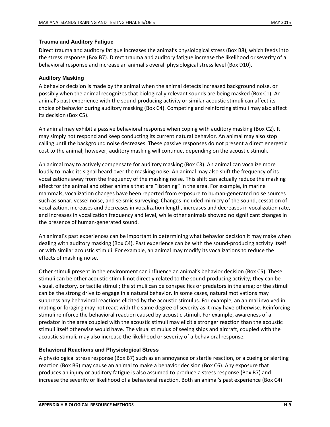### **Trauma and Auditory Fatigue**

Direct trauma and auditory fatigue increases the animal's physiological stress (Box B8), which feeds into the stress response (Box B7). Direct trauma and auditory fatigue increase the likelihood or severity of a behavioral response and increase an animal's overall physiological stress level (Box D10).

### **Auditory Masking**

A behavior decision is made by the animal when the animal detects increased background noise, or possibly when the animal recognizes that biologically relevant sounds are being masked (Box C1). An animal's past experience with the sound-producing activity or similar acoustic stimuli can affect its choice of behavior during auditory masking (Box C4). Competing and reinforcing stimuli may also affect its decision (Box C5).

An animal may exhibit a passive behavioral response when coping with auditory masking (Box C2). It may simply not respond and keep conducting its current natural behavior. An animal may also stop calling until the background noise decreases. These passive responses do not present a direct energetic cost to the animal; however, auditory masking will continue, depending on the acoustic stimuli.

An animal may to actively compensate for auditory masking (Box C3). An animal can vocalize more loudly to make its signal heard over the masking noise. An animal may also shift the frequency of its vocalizations away from the frequency of the masking noise. This shift can actually reduce the masking effect for the animal and other animals that are "listening" in the area. For example, in marine mammals, vocalization changes have been reported from exposure to human-generated noise sources such as sonar, vessel noise, and seismic surveying. Changes included mimicry of the sound, cessation of vocalization, increases and decreases in vocalization length, increases and decreases in vocalization rate, and increases in vocalization frequency and level, while other animals showed no significant changes in the presence of human-generated sound.

An animal's past experiences can be important in determining what behavior decision it may make when dealing with auditory masking (Box C4). Past experience can be with the sound-producing activity itself or with similar acoustic stimuli. For example, an animal may modify its vocalizations to reduce the effects of masking noise.

Other stimuli present in the environment can influence an animal's behavior decision (Box C5). These stimuli can be other acoustic stimuli not directly related to the sound-producing activity; they can be visual, olfactory, or tactile stimuli; the stimuli can be conspecifics or predators in the area; or the stimuli can be the strong drive to engage in a natural behavior. In some cases, natural motivations may suppress any behavioral reactions elicited by the acoustic stimulus. For example, an animal involved in mating or foraging may not react with the same degree of severity as it may have otherwise. Reinforcing stimuli reinforce the behavioral reaction caused by acoustic stimuli. For example, awareness of a predator in the area coupled with the acoustic stimuli may elicit a stronger reaction than the acoustic stimuli itself otherwise would have. The visual stimulus of seeing ships and aircraft, coupled with the acoustic stimuli, may also increase the likelihood or severity of a behavioral response.

### **Behavioral Reactions and Physiological Stress**

A physiological stress response (Box B7) such as an annoyance or startle reaction, or a cueing or alerting reaction (Box B6) may cause an animal to make a behavior decision (Box C6). Any exposure that produces an injury or auditory fatigue is also assumed to produce a stress response (Box B7) and increase the severity or likelihood of a behavioral reaction. Both an animal's past experience (Box C4)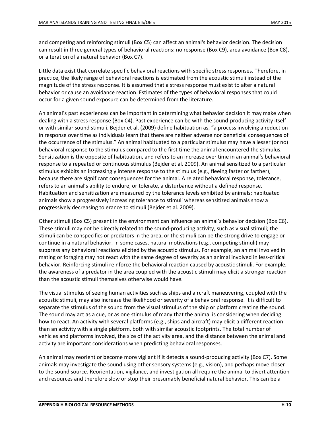and competing and reinforcing stimuli (Box C5) can affect an animal's behavior decision. The decision can result in three general types of behavioral reactions: no response (Box C9), area avoidance (Box C8), or alteration of a natural behavior (Box C7).

Little data exist that correlate specific behavioral reactions with specific stress responses. Therefore, in practice, the likely range of behavioral reactions is estimated from the acoustic stimuli instead of the magnitude of the stress response. It is assumed that a stress response must exist to alter a natural behavior or cause an avoidance reaction. Estimates of the types of behavioral responses that could occur for a given sound exposure can be determined from the literature.

An animal's past experiences can be important in determining what behavior decision it may make when dealing with a stress response (Box C4). Past experience can be with the sound-producing activity itself or with similar sound stimuli. Bejder et al. (2009) define habituation as, "a process involving a reduction in response over time as individuals learn that there are neither adverse nor beneficial consequences of the occurrence of the stimulus." An animal habituated to a particular stimulus may have a lesser (or no) behavioral response to the stimulus compared to the first time the animal encountered the stimulus. Sensitization is the opposite of habituation, and refers to an increase over time in an animal's behavioral response to a repeated or continuous stimulus (Bejder et al. 2009). An animal sensitized to a particular stimulus exhibits an increasingly intense response to the stimulus (e.g., fleeing faster or farther), because there are significant consequences for the animal. A related behavioral response, tolerance, refers to an animal's ability to endure, or tolerate, a disturbance without a defined response. Habituation and sensitization are measured by the tolerance levels exhibited by animals; habituated animals show a progressively increasing tolerance to stimuli whereas sensitized animals show a progressively decreasing tolerance to stimuli (Bejder et al. 2009).

Other stimuli (Box C5) present in the environment can influence an animal's behavior decision (Box C6). These stimuli may not be directly related to the sound-producing activity, such as visual stimuli; the stimuli can be conspecifics or predators in the area, or the stimuli can be the strong drive to engage or continue in a natural behavior. In some cases, natural motivations (e.g., competing stimuli) may suppress any behavioral reactions elicited by the acoustic stimulus. For example, an animal involved in mating or foraging may not react with the same degree of severity as an animal involved in less-critical behavior. Reinforcing stimuli reinforce the behavioral reaction caused by acoustic stimuli. For example, the awareness of a predator in the area coupled with the acoustic stimuli may elicit a stronger reaction than the acoustic stimuli themselves otherwise would have.

The visual stimulus of seeing human activities such as ships and aircraft maneuvering, coupled with the acoustic stimuli, may also increase the likelihood or severity of a behavioral response. It is difficult to separate the stimulus of the sound from the visual stimulus of the ship or platform creating the sound. The sound may act as a cue, or as one stimulus of many that the animal is considering when deciding how to react. An activity with several platforms (e.g., ships and aircraft) may elicit a different reaction than an activity with a single platform, both with similar acoustic footprints. The total number of vehicles and platforms involved, the size of the activity area, and the distance between the animal and activity are important considerations when predicting behavioral responses.

An animal may reorient or become more vigilant if it detects a sound-producing activity (Box C7). Some animals may investigate the sound using other sensory systems (e.g., vision), and perhaps move closer to the sound source. Reorientation, vigilance, and investigation all require the animal to divert attention and resources and therefore slow or stop their presumably beneficial natural behavior. This can be a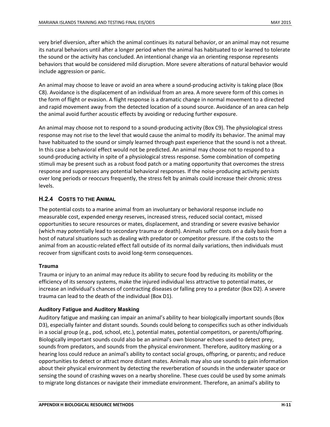very brief diversion, after which the animal continues its natural behavior, or an animal may not resume its natural behaviors until after a longer period when the animal has habituated to or learned to tolerate the sound or the activity has concluded. An intentional change via an orienting response represents behaviors that would be considered mild disruption. More severe alterations of natural behavior would include aggression or panic.

An animal may choose to leave or avoid an area where a sound-producing activity is taking place (Box C8). Avoidance is the displacement of an individual from an area. A more severe form of this comes in the form of flight or evasion. A flight response is a dramatic change in normal movement to a directed and rapid movement away from the detected location of a sound source. Avoidance of an area can help the animal avoid further acoustic effects by avoiding or reducing further exposure.

An animal may choose not to respond to a sound-producing activity (Box C9). The physiological stress response may not rise to the level that would cause the animal to modify its behavior. The animal may have habituated to the sound or simply learned through past experience that the sound is not a threat. In this case a behavioral effect would not be predicted. An animal may choose not to respond to a sound-producing activity in spite of a physiological stress response. Some combination of competing stimuli may be present such as a robust food patch or a mating opportunity that overcomes the stress response and suppresses any potential behavioral responses. If the noise-producing activity persists over long periods or reoccurs frequently, the stress felt by animals could increase their chronic stress levels.

# <span id="page-14-0"></span>**H.2.4 COSTS TO THE ANIMAL**

The potential costs to a marine animal from an involuntary or behavioral response include no measurable cost, expended energy reserves, increased stress, reduced social contact, missed opportunities to secure resources or mates, displacement, and stranding or severe evasive behavior (which may potentially lead to secondary trauma or death). Animals suffer costs on a daily basis from a host of natural situations such as dealing with predator or competitor pressure. If the costs to the animal from an acoustic-related effect fall outside of its normal daily variations, then individuals must recover from significant costs to avoid long-term consequences.

# **Trauma**

Trauma or injury to an animal may reduce its ability to secure food by reducing its mobility or the efficiency of its sensory systems, make the injured individual less attractive to potential mates, or increase an individual's chances of contracting diseases or falling prey to a predator (Box D2). A severe trauma can lead to the death of the individual (Box D1).

# **Auditory Fatigue and Auditory Masking**

Auditory fatigue and masking can impair an animal's ability to hear biologically important sounds (Box D3), especially fainter and distant sounds. Sounds could belong to conspecifics such as other individuals in a social group (e.g., pod, school, etc.), potential mates, potential competitors, or parents/offspring. Biologically important sounds could also be an animal's own biosonar echoes used to detect prey, sounds from predators, and sounds from the physical environment. Therefore, auditory masking or a hearing loss could reduce an animal's ability to contact social groups, offspring, or parents; and reduce opportunities to detect or attract more distant mates. Animals may also use sounds to gain information about their physical environment by detecting the reverberation of sounds in the underwater space or sensing the sound of crashing waves on a nearby shoreline. These cues could be used by some animals to migrate long distances or navigate their immediate environment. Therefore, an animal's ability to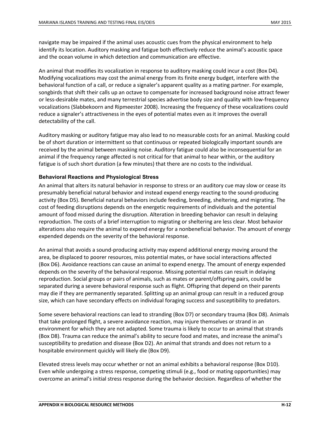navigate may be impaired if the animal uses acoustic cues from the physical environment to help identify its location. Auditory masking and fatigue both effectively reduce the animal's acoustic space and the ocean volume in which detection and communication are effective.

An animal that modifies its vocalization in response to auditory masking could incur a cost (Box D4). Modifying vocalizations may cost the animal energy from its finite energy budget, interfere with the behavioral function of a call, or reduce a signaler's apparent quality as a mating partner. For example, songbirds that shift their calls up an octave to compensate for increased background noise attract fewer or less-desirable mates, and many terrestrial species advertise body size and quality with low-frequency vocalizations (Slabbekoorn and Ripmeester 2008). Increasing the frequency of these vocalizations could reduce a signaler's attractiveness in the eyes of potential mates even as it improves the overall detectability of the call.

Auditory masking or auditory fatigue may also lead to no measurable costs for an animal. Masking could be of short duration or intermittent so that continuous or repeated biologically important sounds are received by the animal between masking noise. Auditory fatigue could also be inconsequential for an animal if the frequency range affected is not critical for that animal to hear within, or the auditory fatigue is of such short duration (a few minutes) that there are no costs to the individual.

### **Behavioral Reactions and Physiological Stress**

An animal that alters its natural behavior in response to stress or an auditory cue may slow or cease its presumably beneficial natural behavior and instead expend energy reacting to the sound-producing activity (Box D5). Beneficial natural behaviors include feeding, breeding, sheltering, and migrating. The cost of feeding disruptions depends on the energetic requirements of individuals and the potential amount of food missed during the disruption. Alteration in breeding behavior can result in delaying reproduction. The costs of a brief interruption to migrating or sheltering are less clear. Most behavior alterations also require the animal to expend energy for a nonbeneficial behavior. The amount of energy expended depends on the severity of the behavioral response.

An animal that avoids a sound-producing activity may expend additional energy moving around the area, be displaced to poorer resources, miss potential mates, or have social interactions affected (Box D6). Avoidance reactions can cause an animal to expend energy. The amount of energy expended depends on the severity of the behavioral response. Missing potential mates can result in delaying reproduction. Social groups or pairs of animals, such as mates or parent/offspring pairs, could be separated during a severe behavioral response such as flight. Offspring that depend on their parents may die if they are permanently separated. Splitting up an animal group can result in a reduced group size, which can have secondary effects on individual foraging success and susceptibility to predators.

Some severe behavioral reactions can lead to stranding (Box D7) or secondary trauma (Box D8). Animals that take prolonged flight, a severe avoidance reaction, may injure themselves or strand in an environment for which they are not adapted. Some trauma is likely to occur to an animal that strands (Box D8). Trauma can reduce the animal's ability to secure food and mates, and increase the animal's susceptibility to predation and disease (Box D2). An animal that strands and does not return to a hospitable environment quickly will likely die (Box D9).

Elevated stress levels may occur whether or not an animal exhibits a behavioral response (Box D10). Even while undergoing a stress response, competing stimuli (e.g., food or mating opportunities) may overcome an animal's initial stress response during the behavior decision. Regardless of whether the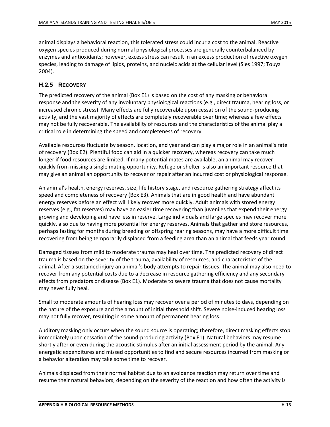animal displays a behavioral reaction, this tolerated stress could incur a cost to the animal. Reactive oxygen species produced during normal physiological processes are generally counterbalanced by enzymes and antioxidants; however, excess stress can result in an excess production of reactive oxygen species, leading to damage of lipids, proteins, and nucleic acids at the cellular level (Sies 1997; Touyz 2004).

### <span id="page-16-0"></span>**H.2.5 RECOVERY**

The predicted recovery of the animal (Box E1) is based on the cost of any masking or behavioral response and the severity of any involuntary physiological reactions (e.g., direct trauma, hearing loss, or increased chronic stress). Many effects are fully recoverable upon cessation of the sound-producing activity, and the vast majority of effects are completely recoverable over time; whereas a few effects may not be fully recoverable. The availability of resources and the characteristics of the animal play a critical role in determining the speed and completeness of recovery.

Available resources fluctuate by season, location, and year and can play a major role in an animal's rate of recovery (Box E2). Plentiful food can aid in a quicker recovery, whereas recovery can take much longer if food resources are limited. If many potential mates are available, an animal may recover quickly from missing a single mating opportunity. Refuge or shelter is also an important resource that may give an animal an opportunity to recover or repair after an incurred cost or physiological response.

An animal's health, energy reserves, size, life history stage, and resource gathering strategy affect its speed and completeness of recovery (Box E3). Animals that are in good health and have abundant energy reserves before an effect will likely recover more quickly. Adult animals with stored energy reserves (e.g., fat reserves) may have an easier time recovering than juveniles that expend their energy growing and developing and have less in reserve. Large individuals and large species may recover more quickly, also due to having more potential for energy reserves. Animals that gather and store resources, perhaps fasting for months during breeding or offspring rearing seasons, may have a more difficult time recovering from being temporarily displaced from a feeding area than an animal that feeds year round.

Damaged tissues from mild to moderate trauma may heal over time. The predicted recovery of direct trauma is based on the severity of the trauma, availability of resources, and characteristics of the animal. After a sustained injury an animal's body attempts to repair tissues. The animal may also need to recover from any potential costs due to a decrease in resource gathering efficiency and any secondary effects from predators or disease (Box E1). Moderate to severe trauma that does not cause mortality may never fully heal.

Small to moderate amounts of hearing loss may recover over a period of minutes to days, depending on the nature of the exposure and the amount of initial threshold shift. Severe noise-induced hearing loss may not fully recover, resulting in some amount of permanent hearing loss.

Auditory masking only occurs when the sound source is operating; therefore, direct masking effects stop immediately upon cessation of the sound-producing activity (Box E1). Natural behaviors may resume shortly after or even during the acoustic stimulus after an initial assessment period by the animal. Any energetic expenditures and missed opportunities to find and secure resources incurred from masking or a behavior alteration may take some time to recover.

Animals displaced from their normal habitat due to an avoidance reaction may return over time and resume their natural behaviors, depending on the severity of the reaction and how often the activity is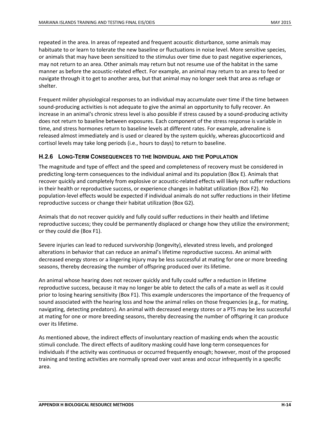repeated in the area. In areas of repeated and frequent acoustic disturbance, some animals may habituate to or learn to tolerate the new baseline or fluctuations in noise level. More sensitive species, or animals that may have been sensitized to the stimulus over time due to past negative experiences, may not return to an area. Other animals may return but not resume use of the habitat in the same manner as before the acoustic-related effect. For example, an animal may return to an area to feed or navigate through it to get to another area, but that animal may no longer seek that area as refuge or shelter.

Frequent milder physiological responses to an individual may accumulate over time if the time between sound-producing activities is not adequate to give the animal an opportunity to fully recover. An increase in an animal's chronic stress level is also possible if stress caused by a sound-producing activity does not return to baseline between exposures. Each component of the stress response is variable in time, and stress hormones return to baseline levels at different rates. For example, adrenaline is released almost immediately and is used or cleared by the system quickly, whereas glucocorticoid and cortisol levels may take long periods (i.e., hours to days) to return to baseline.

### <span id="page-17-0"></span>**H.2.6 LONG-TERM CONSEQUENCES TO THE INDIVIDUAL AND THE POPULATION**

The magnitude and type of effect and the speed and completeness of recovery must be considered in predicting long-term consequences to the individual animal and its population (Box E). Animals that recover quickly and completely from explosive or acoustic-related effects will likely not suffer reductions in their health or reproductive success, or experience changes in habitat utilization (Box F2). No population-level effects would be expected if individual animals do not suffer reductions in their lifetime reproductive success or change their habitat utilization (Box G2).

Animals that do not recover quickly and fully could suffer reductions in their health and lifetime reproductive success; they could be permanently displaced or change how they utilize the environment; or they could die (Box F1).

Severe injuries can lead to reduced survivorship (longevity), elevated stress levels, and prolonged alterations in behavior that can reduce an animal's lifetime reproductive success. An animal with decreased energy stores or a lingering injury may be less successful at mating for one or more breeding seasons, thereby decreasing the number of offspring produced over its lifetime.

An animal whose hearing does not recover quickly and fully could suffer a reduction in lifetime reproductive success, because it may no longer be able to detect the calls of a mate as well as it could prior to losing hearing sensitivity (Box F1). This example underscores the importance of the frequency of sound associated with the hearing loss and how the animal relies on those frequencies (e.g., for mating, navigating, detecting predators). An animal with decreased energy stores or a PTS may be less successful at mating for one or more breeding seasons, thereby decreasing the number of offspring it can produce over its lifetime.

As mentioned above, the indirect effects of involuntary reaction of masking ends when the acoustic stimuli conclude. The direct effects of auditory masking could have long-term consequences for individuals if the activity was continuous or occurred frequently enough; however, most of the proposed training and testing activities are normally spread over vast areas and occur infrequently in a specific area.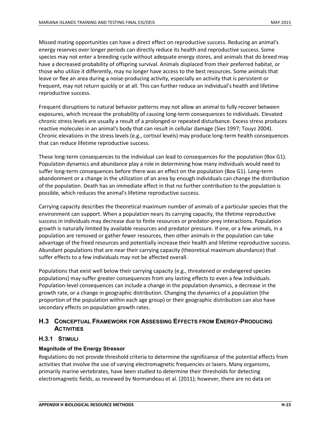Missed mating opportunities can have a direct effect on reproductive success. Reducing an animal's energy reserves over longer periods can directly reduce its health and reproductive success. Some species may not enter a breeding cycle without adequate energy stores, and animals that do breed may have a decreased probability of offspring survival. Animals displaced from their preferred habitat, or those who utilize it differently, may no longer have access to the best resources. Some animals that leave or flee an area during a noise-producing activity, especially an activity that is persistent or frequent, may not return quickly or at all. This can further reduce an individual's health and lifetime reproductive success.

Frequent disruptions to natural behavior patterns may not allow an animal to fully recover between exposures, which increase the probability of causing long-term consequences to individuals. Elevated chronic stress levels are usually a result of a prolonged or repeated disturbance. Excess stress produces reactive molecules in an animal's body that can result in cellular damage (Sies 1997; Touyz 2004). Chronic elevations in the stress levels (e.g., cortisol levels) may produce long-term health consequences that can reduce lifetime reproductive success.

These long-term consequences to the individual can lead to consequences for the population (Box G1). Population dynamics and abundance play a role in determining how many individuals would need to suffer long-term consequences before there was an effect on the population (Box G1). Long-term abandonment or a change in the utilization of an area by enough individuals can change the distribution of the population. Death has an immediate effect in that no further contribution to the population is possible, which reduces the animal's lifetime reproductive success.

Carrying capacity describes the theoretical maximum number of animals of a particular species that the environment can support. When a population nears its carrying capacity, the lifetime reproductive success in individuals may decrease due to finite resources or predator-prey interactions. Population growth is naturally limited by available resources and predator pressure. If one, or a few animals, in a population are removed or gather fewer resources, then other animals in the population can take advantage of the freed resources and potentially increase their health and lifetime reproductive success. Abundant populations that are near their carrying capacity (theoretical maximum abundance) that suffer effects to a few individuals may not be affected overall.

Populations that exist well below their carrying capacity (e.g., threatened or endangered species populations) may suffer greater consequences from any lasting effects to even a few individuals. Population-level consequences can include a change in the population dynamics, a decrease in the growth rate, or a change in geographic distribution. Changing the dynamics of a population (the proportion of the population within each age group) or their geographic distribution can also have secondary effects on population growth rates.

# <span id="page-18-0"></span>**H.3 CONCEPTUAL FRAMEWORK FOR ASSESSING EFFECTS FROM ENERGY-PRODUCING ACTIVITIES**

### <span id="page-18-1"></span>**H.3.1 STIMULI**

### **Magnitude of the Energy Stressor**

Regulations do not provide threshold criteria to determine the significance of the potential effects from activities that involve the use of varying electromagnetic frequencies or lasers. Many organisms, primarily marine vertebrates, have been studied to determine their thresholds for detecting electromagnetic fields, as reviewed by Normandeau et al. (2011); however, there are no data on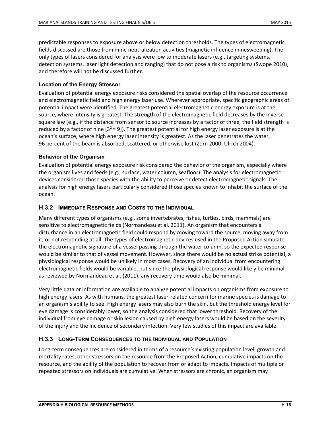predictable responses to exposure above or below detection thresholds. The types of electromagnetic fields discussed are those from mine neutralization activities (magnetic influence minesweeping). The only types of lasers considered for analysis were low to moderate lasers (e.g., targeting systems, detection systems, laser light detection and ranging) that do not pose a risk to organisms (Swope 2010), and therefore will not be discussed further.

# **Location of the Energy Stressor**

Evaluation of potential energy exposure risks considered the spatial overlap of the resource occurrence and electromagnetic field and high energy laser use. Wherever appropriate, specific geographic areas of potential impact were identified. The greatest potential electromagnetic energy exposure is at the source, where intensity is greatest. The strength of the electromagnetic field decreases by the inverse square law (e.g., if the distance from sensor to source increases by a factor of three, the field strength is reduced by a factor of nine  $[3^2=9]$ ). The greatest potential for high energy laser exposure is at the ocean's surface, where high energy laser intensity is greatest. As the laser penetrates the water, 96 percent of the beam is absorbed, scattered, or otherwise lost (Zorn 2000; Ulrich 2004).

### **Behavior of the Organism**

Evaluation of potential energy exposure risk considered the behavior of the organism, especially where the organism lives and feeds (e.g., surface, water column, seafloor). The analysis for electromagnetic devices considered those species with the ability to perceive or detect electromagnetic signals. The analysis for high energy lasers particularly considered those species known to inhabit the surface of the ocean.

# <span id="page-19-0"></span>**H.3.2 IMMEDIATE RESPONSE AND COSTS TO THE INDIVIDUAL**

Many different types of organisms (e.g., some invertebrates, fishes, turtles, birds, mammals) are sensitive to electromagnetic fields (Normandeau et al. 2011). An organism that encounters a disturbance in an electromagnetic field could respond by moving toward the source, moving away from it, or not responding at all. The types of electromagnetic devices used in the Proposed Action simulate the electromagnetic signature of a vessel passing through the water column, so the expected response would be similar to that of vessel movement. However, since there would be no actual strike potential, a physiological response would be unlikely in most cases. Recovery of an individual from encountering electromagnetic fields would be variable, but since the physiological response would likely be minimal, as reviewed by Normandeau et al. (2011), any recovery time would also be minimal.

Very little data or information are available to analyze potential impacts on organisms from exposure to high energy lasers. As with humans, the greatest laser-related concern for marine species is damage to an organism's ability to see. High energy lasers may also burn the skin, but the threshold energy level for eye damage is considerably lower, so the analysis considered that lower threshold. Recovery of the individual from eye damage or skin lesion caused by high energy lasers would be based on the severity of the injury and the incidence of secondary infection. Very few studies of this impact are available.

# <span id="page-19-1"></span>**H.3.3 LONG-TERM CONSEQUENCES TO THE INDIVIDUAL AND POPULATION**

Long-term consequences are considered in terms of a resource's existing population level, growth and mortality rates, other stressors on the resource from the Proposed Action, cumulative impacts on the resource, and the ability of the population to recover from or adapt to impacts. Impacts of multiple or repeated stressors on individuals are cumulative. When stressors are chronic, an organism may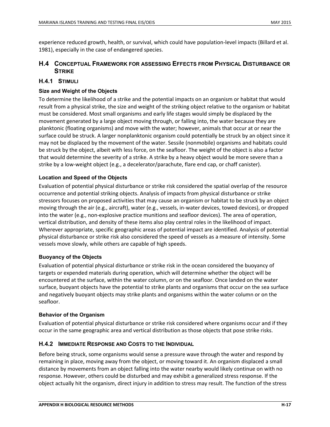experience reduced growth, health, or survival, which could have population-level impacts (Billard et al. 1981), especially in the case of endangered species.

# <span id="page-20-0"></span>**H.4 CONCEPTUAL FRAMEWORK FOR ASSESSING EFFECTS FROM PHYSICAL DISTURBANCE OR STRIKE**

### <span id="page-20-1"></span>**H.4.1 STIMULI**

### **Size and Weight of the Objects**

To determine the likelihood of a strike and the potential impacts on an organism or habitat that would result from a physical strike, the size and weight of the striking object relative to the organism or habitat must be considered. Most small organisms and early life stages would simply be displaced by the movement generated by a large object moving through, or falling into, the water because they are planktonic (floating organisms) and move with the water; however, animals that occur at or near the surface could be struck. A larger nonplanktonic organism could potentially be struck by an object since it may not be displaced by the movement of the water. Sessile (nonmobile) organisms and habitats could be struck by the object, albeit with less force, on the seafloor. The weight of the object is also a factor that would determine the severity of a strike. A strike by a heavy object would be more severe than a strike by a low-weight object (e.g., a decelerator/parachute, flare end cap, or chaff canister).

### **Location and Speed of the Objects**

Evaluation of potential physical disturbance or strike risk considered the spatial overlap of the resource occurrence and potential striking objects. Analysis of impacts from physical disturbance or strike stressors focuses on proposed activities that may cause an organism or habitat to be struck by an object moving through the air (e.g., aircraft), water (e.g., vessels, in-water devices, towed devices), or dropped into the water (e.g., non-explosive practice munitions and seafloor devices). The area of operation, vertical distribution, and density of these items also play central roles in the likelihood of impact. Wherever appropriate, specific geographic areas of potential impact are identified. Analysis of potential physical disturbance or strike risk also considered the speed of vessels as a measure of intensity. Some vessels move slowly, while others are capable of high speeds.

### **Buoyancy of the Objects**

Evaluation of potential physical disturbance or strike risk in the ocean considered the buoyancy of targets or expended materials during operation, which will determine whether the object will be encountered at the surface, within the water column, or on the seafloor. Once landed on the water surface, buoyant objects have the potential to strike plants and organisms that occur on the sea surface and negatively buoyant objects may strike plants and organisms within the water column or on the seafloor.

### **Behavior of the Organism**

Evaluation of potential physical disturbance or strike risk considered where organisms occur and if they occur in the same geographic area and vertical distribution as those objects that pose strike risks.

# <span id="page-20-2"></span>**H.4.2 IMMEDIATE RESPONSE AND COSTS TO THE INDIVIDUAL**

Before being struck, some organisms would sense a pressure wave through the water and respond by remaining in place, moving away from the object, or moving toward it. An organism displaced a small distance by movements from an object falling into the water nearby would likely continue on with no response. However, others could be disturbed and may exhibit a generalized stress response. If the object actually hit the organism, direct injury in addition to stress may result. The function of the stress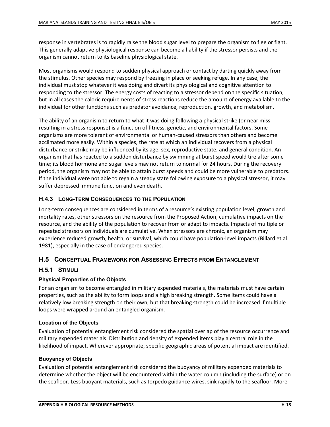response in vertebrates is to rapidly raise the blood sugar level to prepare the organism to flee or fight. This generally adaptive physiological response can become a liability if the stressor persists and the organism cannot return to its baseline physiological state.

Most organisms would respond to sudden physical approach or contact by darting quickly away from the stimulus. Other species may respond by freezing in place or seeking refuge. In any case, the individual must stop whatever it was doing and divert its physiological and cognitive attention to responding to the stressor. The energy costs of reacting to a stressor depend on the specific situation, but in all cases the caloric requirements of stress reactions reduce the amount of energy available to the individual for other functions such as predator avoidance, reproduction, growth, and metabolism.

The ability of an organism to return to what it was doing following a physical strike (or near miss resulting in a stress response) is a function of fitness, genetic, and environmental factors. Some organisms are more tolerant of environmental or human-caused stressors than others and become acclimated more easily. Within a species, the rate at which an individual recovers from a physical disturbance or strike may be influenced by its age, sex, reproductive state, and general condition. An organism that has reacted to a sudden disturbance by swimming at burst speed would tire after some time; its blood hormone and sugar levels may not return to normal for 24 hours. During the recovery period, the organism may not be able to attain burst speeds and could be more vulnerable to predators. If the individual were not able to regain a steady state following exposure to a physical stressor, it may suffer depressed immune function and even death.

# <span id="page-21-0"></span>**H.4.3 LONG-TERM CONSEQUENCES TO THE POPULATION**

Long-term consequences are considered in terms of a resource's existing population level, growth and mortality rates, other stressors on the resource from the Proposed Action, cumulative impacts on the resource, and the ability of the population to recover from or adapt to impacts. Impacts of multiple or repeated stressors on individuals are cumulative. When stressors are chronic, an organism may experience reduced growth, health, or survival, which could have population-level impacts (Billard et al. 1981), especially in the case of endangered species.

# <span id="page-21-1"></span>**H.5 CONCEPTUAL FRAMEWORK FOR ASSESSING EFFECTS FROM ENTANGLEMENT**

# <span id="page-21-2"></span>**H.5.1 STIMULI**

# **Physical Properties of the Objects**

For an organism to become entangled in military expended materials, the materials must have certain properties, such as the ability to form loops and a high breaking strength. Some items could have a relatively low breaking strength on their own, but that breaking strength could be increased if multiple loops were wrapped around an entangled organism.

# **Location of the Objects**

Evaluation of potential entanglement risk considered the spatial overlap of the resource occurrence and military expended materials. Distribution and density of expended items play a central role in the likelihood of impact. Wherever appropriate, specific geographic areas of potential impact are identified.

# **Buoyancy of Objects**

Evaluation of potential entanglement risk considered the buoyancy of military expended materials to determine whether the object will be encountered within the water column (including the surface) or on the seafloor. Less buoyant materials, such as torpedo guidance wires, sink rapidly to the seafloor. More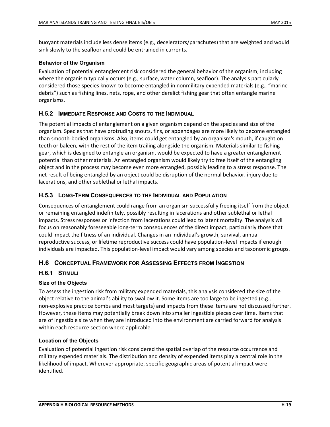buoyant materials include less dense items (e.g., decelerators/parachutes) that are weighted and would sink slowly to the seafloor and could be entrained in currents.

# **Behavior of the Organism**

Evaluation of potential entanglement risk considered the general behavior of the organism, including where the organism typically occurs (e.g., surface, water column, seafloor). The analysis particularly considered those species known to become entangled in nonmilitary expended materials (e.g., "marine debris") such as fishing lines, nets, rope, and other derelict fishing gear that often entangle marine organisms.

# <span id="page-22-0"></span>**H.5.2 IMMEDIATE RESPONSE AND COSTS TO THE INDIVIDUAL**

The potential impacts of entanglement on a given organism depend on the species and size of the organism. Species that have protruding snouts, fins, or appendages are more likely to become entangled than smooth-bodied organisms. Also, items could get entangled by an organism's mouth, if caught on teeth or baleen, with the rest of the item trailing alongside the organism. Materials similar to fishing gear, which is designed to entangle an organism, would be expected to have a greater entanglement potential than other materials. An entangled organism would likely try to free itself of the entangling object and in the process may become even more entangled, possibly leading to a stress response. The net result of being entangled by an object could be disruption of the normal behavior, injury due to lacerations, and other sublethal or lethal impacts.

# <span id="page-22-1"></span>**H.5.3 LONG-TERM CONSEQUENCES TO THE INDIVIDUAL AND POPULATION**

Consequences of entanglement could range from an organism successfully freeing itself from the object or remaining entangled indefinitely, possibly resulting in lacerations and other sublethal or lethal impacts. Stress responses or infection from lacerations could lead to latent mortality. The analysis will focus on reasonably foreseeable long-term consequences of the direct impact, particularly those that could impact the fitness of an individual. Changes in an individual's growth, survival, annual reproductive success, or lifetime reproductive success could have population-level impacts if enough individuals are impacted. This population-level impact would vary among species and taxonomic groups.

# <span id="page-22-2"></span>**H.6 CONCEPTUAL FRAMEWORK FOR ASSESSING EFFECTS FROM INGESTION**

# <span id="page-22-3"></span>**H.6.1 STIMULI**

# **Size of the Objects**

To assess the ingestion risk from military expended materials, this analysis considered the size of the object relative to the animal's ability to swallow it. Some items are too large to be ingested (e.g., non-explosive practice bombs and most targets) and impacts from these items are not discussed further. However, these items may potentially break down into smaller ingestible pieces over time. Items that are of ingestible size when they are introduced into the environment are carried forward for analysis within each resource section where applicable.

### **Location of the Objects**

Evaluation of potential ingestion risk considered the spatial overlap of the resource occurrence and military expended materials. The distribution and density of expended items play a central role in the likelihood of impact. Wherever appropriate, specific geographic areas of potential impact were identified.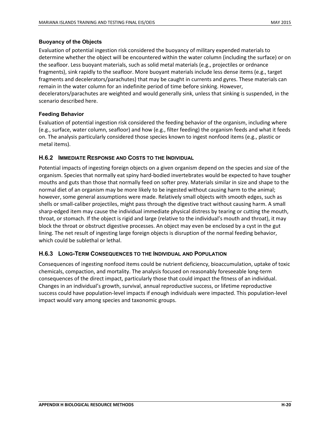### **Buoyancy of the Objects**

Evaluation of potential ingestion risk considered the buoyancy of military expended materials to determine whether the object will be encountered within the water column (including the surface) or on the seafloor. Less buoyant materials, such as solid metal materials (e.g., projectiles or ordnance fragments), sink rapidly to the seafloor. More buoyant materials include less dense items (e.g., target fragments and decelerators/parachutes) that may be caught in currents and gyres. These materials can remain in the water column for an indefinite period of time before sinking. However, decelerators/parachutes are weighted and would generally sink, unless that sinking is suspended, in the scenario described here.

# **Feeding Behavior**

Evaluation of potential ingestion risk considered the feeding behavior of the organism, including where (e.g., surface, water column, seafloor) and how (e.g., filter feeding) the organism feeds and what it feeds on. The analysis particularly considered those species known to ingest nonfood items (e.g., plastic or metal items).

# <span id="page-23-0"></span>**H.6.2 IMMEDIATE RESPONSE AND COSTS TO THE INDIVIDUAL**

Potential impacts of ingesting foreign objects on a given organism depend on the species and size of the organism. Species that normally eat spiny hard-bodied invertebrates would be expected to have tougher mouths and guts than those that normally feed on softer prey. Materials similar in size and shape to the normal diet of an organism may be more likely to be ingested without causing harm to the animal; however, some general assumptions were made. Relatively small objects with smooth edges, such as shells or small-caliber projectiles, might pass through the digestive tract without causing harm. A small sharp-edged item may cause the individual immediate physical distress by tearing or cutting the mouth, throat, or stomach. If the object is rigid and large (relative to the individual's mouth and throat), it may block the throat or obstruct digestive processes. An object may even be enclosed by a cyst in the gut lining. The net result of ingesting large foreign objects is disruption of the normal feeding behavior, which could be sublethal or lethal.

# <span id="page-23-1"></span>**H.6.3 LONG-TERM CONSEQUENCES TO THE INDIVIDUAL AND POPULATION**

Consequences of ingesting nonfood items could be nutrient deficiency, bioaccumulation, uptake of toxic chemicals, compaction, and mortality. The analysis focused on reasonably foreseeable long-term consequences of the direct impact, particularly those that could impact the fitness of an individual. Changes in an individual's growth, survival, annual reproductive success, or lifetime reproductive success could have population-level impacts if enough individuals were impacted. This population-level impact would vary among species and taxonomic groups.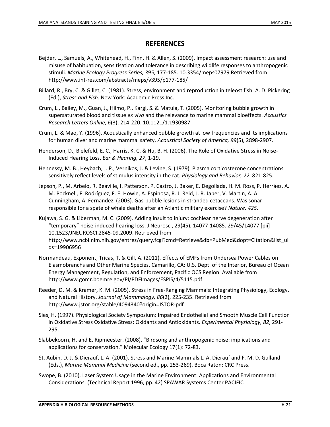# **REFERENCES**

- Bejder, L., Samuels, A., Whitehead, H., Finn, H. & Allen, S. (2009). Impact assessment research: use and misuse of habituation, sensitisation and tolerance in describing wildlife responses to anthropogenic stimuli. *Marine Ecology Progress Series, 395*, 177-185. 10.3354/meps07979 Retrieved from http://www.int-res.com/abstracts/meps/v395/p177-185/
- Billard, R., Bry, C. & Gillet, C. (1981). Stress, environment and reproduction in teleost fish. A. D. Pickering (Ed.), *Stress and Fish*. New York: Academic Press Inc.
- Crum, L., Bailey, M., Guan, J., Hilmo, P., Kargl, S. & Matula, T. (2005). Monitoring bubble growth in supersaturated blood and tissue *ex vivo* and the relevance to marine mammal bioeffects. *Acoustics Research Letters Online, 6*(3), 214-220. 10.1121/1.1930987
- Crum, L. & Mao, Y. (1996). Acoustically enhanced bubble growth at low frequencies and its implications for human diver and marine mammal safety. *Acoustical Society of America, 99*(5), 2898-2907.
- Henderson, D., Bielefeld, E. C., Harris, K. C. & Hu, B. H. (2006). The Role of Oxidative Stress in Noise-Induced Hearing Loss. *Ear & Hearing, 27*, 1-19.
- Hennessy, M. B., Heybach, J. P., Vernikos, J. & Levine, S. (1979). Plasma corticosterone concentrations sensitively reflect levels of stimulus intensity in the rat. *Physiology and Behavior, 22*, 821-825.
- Jepson, P., M. Arbelo, R. Beaville, I. Patterson, P. Castro, J. Baker, E. Degollada, H. M. Ross, P. Herráez, A. M. Pocknell, F. Rodríguez, F. E. Howie, A. Espinosa, R. J. Reid, J. R. Jaber, V. Martin, A. A. Cunningham, A. Fernandez. (2003). Gas-bubble lesions in stranded cetaceans. Was sonar responsible for a spate of whale deaths after an Atlantic military exercise? *Nature, 425*.
- Kujawa, S. G. & Liberman, M. C. (2009). Adding insult to injury: cochlear nerve degeneration after "temporary" noise-induced hearing loss. J Neurosci, 29(45), 14077-14085. 29/45/14077 [pii] 10.1523/JNEUROSCI.2845-09.2009. Retrieved from http://www.ncbi.nlm.nih.gov/entrez/query.fcgi?cmd=Retrieve&db=PubMed&dopt=Citation&list\_ui ds=19906956
- Normandeau, Exponent, Tricas, T. & Gill, A. (2011). Effects of EMFs from Undersea Power Cables on Elasmobranchs and Other Marine Species. Camarillo, CA: U.S. Dept. of the Interior, Bureau of Ocean Energy Management, Regulation, and Enforcement, Pacific OCS Region. Available from http://www.gomr.boemre.gov/PI/PDFImages/ESPIS/4/5115.pdf
- Reeder, D. M. & Kramer, K. M. (2005). Stress in Free-Ranging Mammals: Integrating Physiology, Ecology, and Natural History. *Journal of Mammalogy, 86*(2), 225-235. Retrieved from http://www.jstor.org/stable/4094340?origin=JSTOR-pdf
- Sies, H. (1997). Physiological Society Symposium: Impaired Endothelial and Smooth Muscle Cell Function in Oxidative Stress Oxidative Stress: Oxidants and Antioxidants. *Experimental Physiology, 82*, 291- 295.
- Slabbekoorn, H. and E. Ripmeester. (2008). "Birdsong and anthropogenic noise: implications and applications for conservation." Molecular Ecology 17(1): 72-83.
- St. Aubin, D. J. & Dierauf, L. A. (2001). Stress and Marine Mammals L. A. Dierauf and F. M. D. Gulland (Eds.), *Marine Mammal Medicine* (second ed., pp. 253-269). Boca Raton: CRC Press.
- Swope, B. (2010). Laser System Usage in the Marine Environment: Applications and Environmental Considerations. (Technical Report 1996, pp. 42) SPAWAR Systems Center PACIFIC.